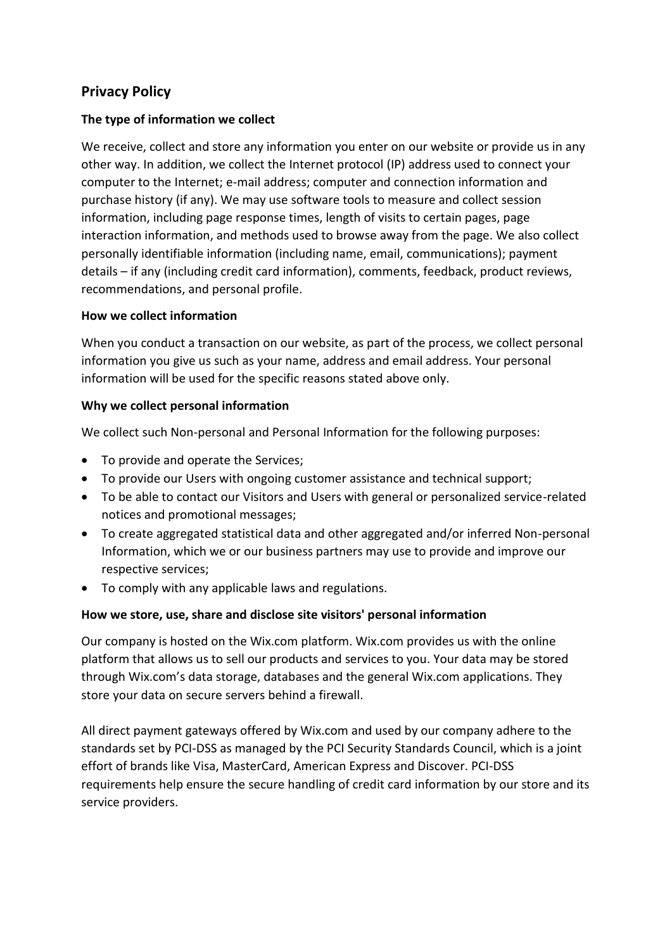# **Privacy Policy**

## **The type of information we collect**

We receive, collect and store any information you enter on our website or provide us in any other way. In addition, we collect the Internet protocol (IP) address used to connect your computer to the Internet; e-mail address; computer and connection information and purchase history (if any). We may use software tools to measure and collect session information, including page response times, length of visits to certain pages, page interaction information, and methods used to browse away from the page. We also collect personally identifiable information (including name, email, communications); payment details – if any (including credit card information), comments, feedback, product reviews, recommendations, and personal profile.

## **How we collect information**

When you conduct a transaction on our website, as part of the process, we collect personal information you give us such as your name, address and email address. Your personal information will be used for the specific reasons stated above only.

## **Why we collect personal information**

We collect such Non-personal and Personal Information for the following purposes:

- To provide and operate the Services;
- To provide our Users with ongoing customer assistance and technical support;
- To be able to contact our Visitors and Users with general or personalized service-related notices and promotional messages;
- To create aggregated statistical data and other aggregated and/or inferred Non-personal Information, which we or our business partners may use to provide and improve our respective services;
- To comply with any applicable laws and regulations.

## **How we store, use, share and disclose site visitors' personal information**

Our company is hosted on the Wix.com platform. Wix.com provides us with the online platform that allows us to sell our products and services to you. Your data may be stored through Wix.com's data storage, databases and the general Wix.com applications. They store your data on secure servers behind a firewall.

All direct payment gateways offered by Wix.com and used by our company adhere to the standards set by PCI-DSS as managed by the PCI Security Standards Council, which is a joint effort of brands like Visa, MasterCard, American Express and Discover. PCI-DSS requirements help ensure the secure handling of credit card information by our store and its service providers.